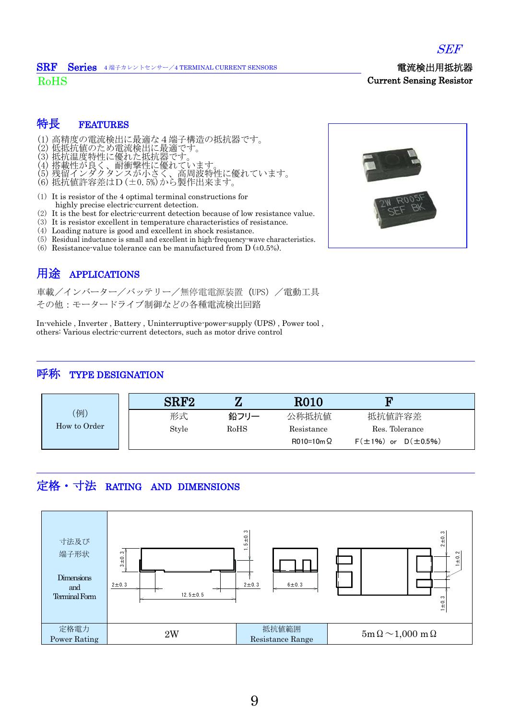

#### 電流検出用抵抗器 SRF Series <sup>4</sup> 端子カレントセンサー/4 TERMINAL CURRENT SENSORS

RoHS

#### 特長 FEATURES

- (1) 高精度の電流検出に最適な4端子構造の抵抗器です。
- (2) 低抵抗値のため電流検出に最適です。
- (3) 抵抗温度特性に優れた抵抗器です。
- (4) 搭載性が良く、耐衝撃性に優れています。
- (5) 残留インダクタンスが小さく、高周波特性に優れています。
- (6) 抵抗値許容差はD(±0.5%)から製作出来ます。
- (1) It is resistor of the 4 optimal terminal constructions for highly precise electric-current detection.
- (2) It is the best for electric-current detection because of low resistance value.
- (3) It is resistor excellent in temperature characteristics of resistance.
- (4) Loading nature is good and excellent in shock resistance.
- (5) Residual inductance is small and excellent in high-frequency-wave characteristics.
- (6) Resistance-value tolerance can be manufactured from  $D$  ( $\pm 0.5$ %).

# 用途 APPLICATIONS

車載/インバーター/バッテリー/無停電電源装置 (UPS) /電動工具 その他:モータードライブ制御などの各種電流検出回路

In-vehicle , Inverter , Battery , Uninterruptive-power-supply (UPS) , Power tool , others: Various electric-current detectors, such as motor drive control

### 呼称 TYPE DESIGNATION

| (例)<br>How to Order | SRF <sub>2</sub> |      | <b>R010</b>      | m                              |
|---------------------|------------------|------|------------------|--------------------------------|
|                     | 形式               | 鉛フリー | 公称抵抗值            | 抵抗值許容差                         |
|                     | Style            | RoHS | Resistance       | Res. Tolerance                 |
|                     |                  |      | $R010=10m\Omega$ | $F(\pm 1\%)$ or $D(\pm 0.5\%)$ |

## 定格・寸法 RATING AND DIMENSIONS